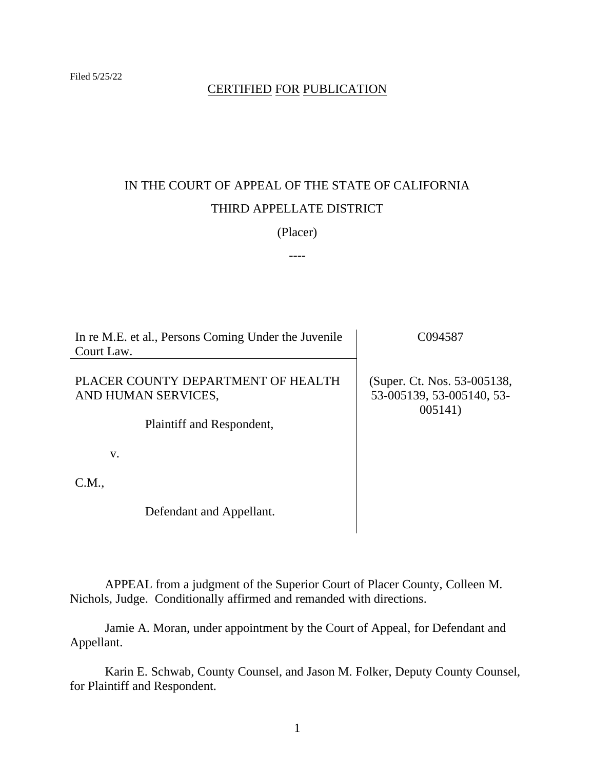# CERTIFIED FOR PUBLICATION

# IN THE COURT OF APPEAL OF THE STATE OF CALIFORNIA THIRD APPELLATE DISTRICT

### (Placer)

----

| In re M.E. et al., Persons Coming Under the Juvenile<br>Court Law.                     | C094587                                                             |
|----------------------------------------------------------------------------------------|---------------------------------------------------------------------|
| PLACER COUNTY DEPARTMENT OF HEALTH<br>AND HUMAN SERVICES,<br>Plaintiff and Respondent, | (Super. Ct. Nos. 53-005138,<br>53-005139, 53-005140, 53-<br>005141) |
| V.                                                                                     |                                                                     |
| C.M.,                                                                                  |                                                                     |
| Defendant and Appellant.                                                               |                                                                     |

APPEAL from a judgment of the Superior Court of Placer County, Colleen M. Nichols, Judge. Conditionally affirmed and remanded with directions.

Jamie A. Moran, under appointment by the Court of Appeal, for Defendant and Appellant.

Karin E. Schwab, County Counsel, and Jason M. Folker, Deputy County Counsel, for Plaintiff and Respondent.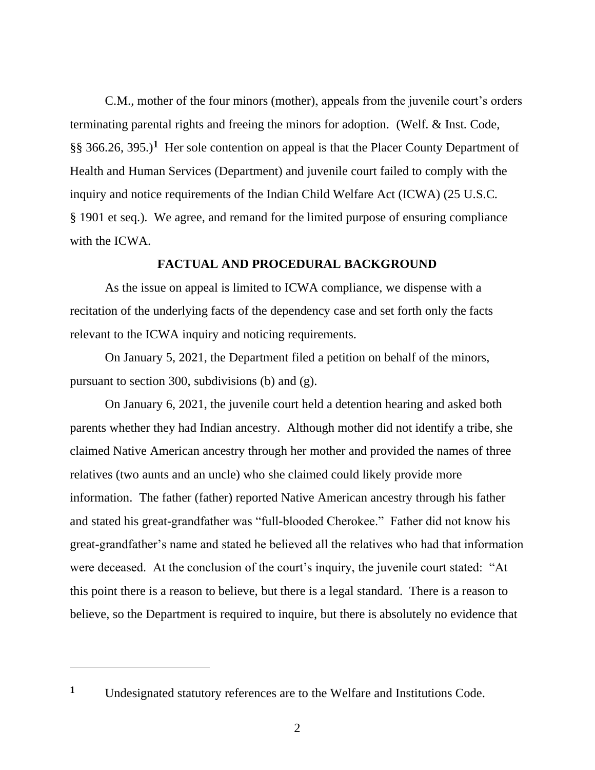C.M., mother of the four minors (mother), appeals from the juvenile court's orders terminating parental rights and freeing the minors for adoption. (Welf. & Inst. Code, §§ 366.26, 395.)**<sup>1</sup>** Her sole contention on appeal is that the Placer County Department of Health and Human Services (Department) and juvenile court failed to comply with the inquiry and notice requirements of the Indian Child Welfare Act (ICWA) (25 U.S.C. § 1901 et seq.). We agree, and remand for the limited purpose of ensuring compliance with the ICWA.

### **FACTUAL AND PROCEDURAL BACKGROUND**

As the issue on appeal is limited to ICWA compliance, we dispense with a recitation of the underlying facts of the dependency case and set forth only the facts relevant to the ICWA inquiry and noticing requirements.

On January 5, 2021, the Department filed a petition on behalf of the minors, pursuant to section 300, subdivisions (b) and (g).

On January 6, 2021, the juvenile court held a detention hearing and asked both parents whether they had Indian ancestry. Although mother did not identify a tribe, she claimed Native American ancestry through her mother and provided the names of three relatives (two aunts and an uncle) who she claimed could likely provide more information. The father (father) reported Native American ancestry through his father and stated his great-grandfather was "full-blooded Cherokee." Father did not know his great-grandfather's name and stated he believed all the relatives who had that information were deceased. At the conclusion of the court's inquiry, the juvenile court stated: "At this point there is a reason to believe, but there is a legal standard. There is a reason to believe, so the Department is required to inquire, but there is absolutely no evidence that

**<sup>1</sup>** Undesignated statutory references are to the Welfare and Institutions Code.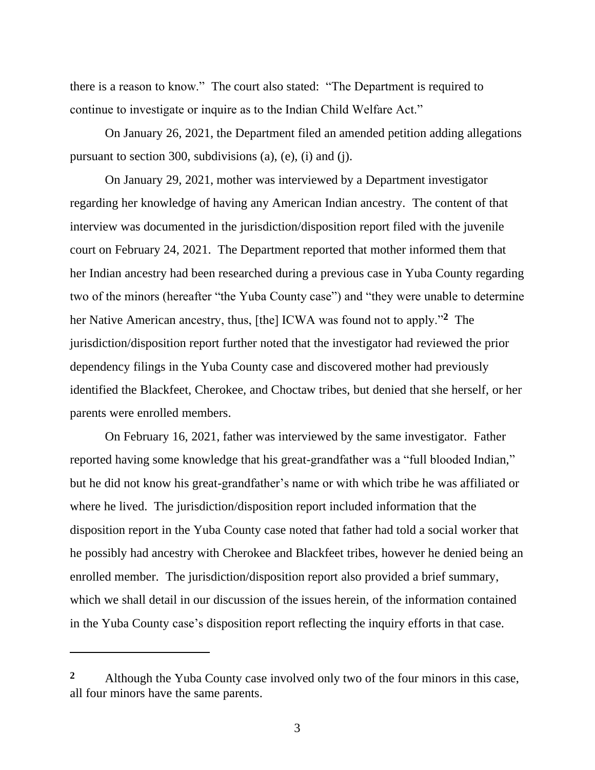there is a reason to know." The court also stated: "The Department is required to continue to investigate or inquire as to the Indian Child Welfare Act."

On January 26, 2021, the Department filed an amended petition adding allegations pursuant to section 300, subdivisions (a), (e), (i) and (j).

On January 29, 2021, mother was interviewed by a Department investigator regarding her knowledge of having any American Indian ancestry. The content of that interview was documented in the jurisdiction/disposition report filed with the juvenile court on February 24, 2021. The Department reported that mother informed them that her Indian ancestry had been researched during a previous case in Yuba County regarding two of the minors (hereafter "the Yuba County case") and "they were unable to determine her Native American ancestry, thus, [the] ICWA was found not to apply."**<sup>2</sup>** The jurisdiction/disposition report further noted that the investigator had reviewed the prior dependency filings in the Yuba County case and discovered mother had previously identified the Blackfeet, Cherokee, and Choctaw tribes, but denied that she herself, or her parents were enrolled members.

On February 16, 2021, father was interviewed by the same investigator. Father reported having some knowledge that his great-grandfather was a "full blooded Indian," but he did not know his great-grandfather's name or with which tribe he was affiliated or where he lived. The jurisdiction/disposition report included information that the disposition report in the Yuba County case noted that father had told a social worker that he possibly had ancestry with Cherokee and Blackfeet tribes, however he denied being an enrolled member. The jurisdiction/disposition report also provided a brief summary, which we shall detail in our discussion of the issues herein, of the information contained in the Yuba County case's disposition report reflecting the inquiry efforts in that case.

**<sup>2</sup>** Although the Yuba County case involved only two of the four minors in this case, all four minors have the same parents.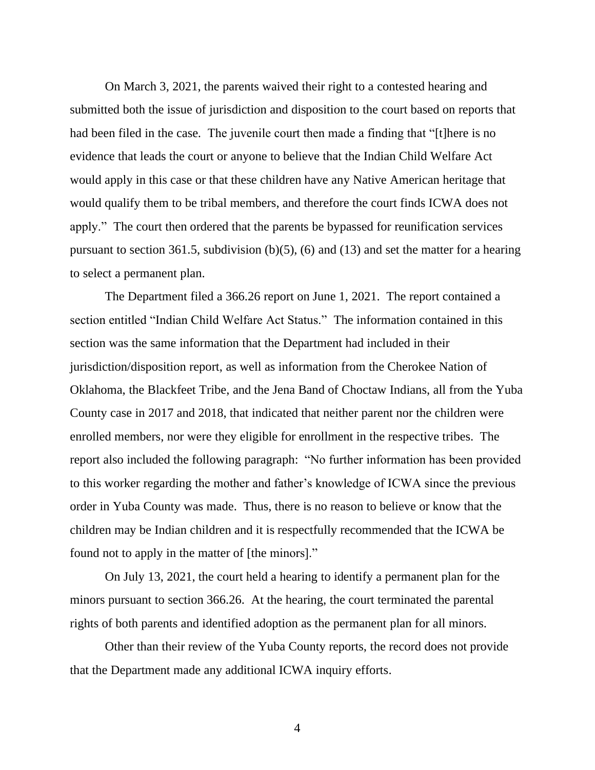On March 3, 2021, the parents waived their right to a contested hearing and submitted both the issue of jurisdiction and disposition to the court based on reports that had been filed in the case. The juvenile court then made a finding that "[t]here is no evidence that leads the court or anyone to believe that the Indian Child Welfare Act would apply in this case or that these children have any Native American heritage that would qualify them to be tribal members, and therefore the court finds ICWA does not apply." The court then ordered that the parents be bypassed for reunification services pursuant to section 361.5, subdivision (b)(5), (6) and (13) and set the matter for a hearing to select a permanent plan.

The Department filed a 366.26 report on June 1, 2021. The report contained a section entitled "Indian Child Welfare Act Status." The information contained in this section was the same information that the Department had included in their jurisdiction/disposition report, as well as information from the Cherokee Nation of Oklahoma, the Blackfeet Tribe, and the Jena Band of Choctaw Indians, all from the Yuba County case in 2017 and 2018, that indicated that neither parent nor the children were enrolled members, nor were they eligible for enrollment in the respective tribes. The report also included the following paragraph: "No further information has been provided to this worker regarding the mother and father's knowledge of ICWA since the previous order in Yuba County was made. Thus, there is no reason to believe or know that the children may be Indian children and it is respectfully recommended that the ICWA be found not to apply in the matter of [the minors]."

On July 13, 2021, the court held a hearing to identify a permanent plan for the minors pursuant to section 366.26. At the hearing, the court terminated the parental rights of both parents and identified adoption as the permanent plan for all minors.

Other than their review of the Yuba County reports, the record does not provide that the Department made any additional ICWA inquiry efforts.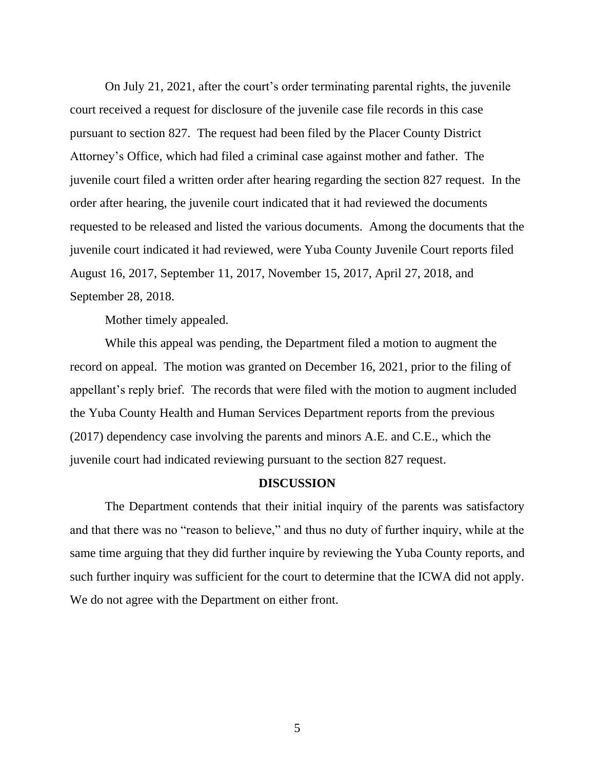On July 21, 2021, after the court's order terminating parental rights, the juvenile court received a request for disclosure of the juvenile case file records in this case pursuant to section 827. The request had been filed by the Placer County District Attorney's Office, which had filed a criminal case against mother and father. The juvenile court filed a written order after hearing regarding the section 827 request. In the order after hearing, the juvenile court indicated that it had reviewed the documents requested to be released and listed the various documents. Among the documents that the juvenile court indicated it had reviewed, were Yuba County Juvenile Court reports filed August 16, 2017, September 11, 2017, November 15, 2017, April 27, 2018, and September 28, 2018.

Mother timely appealed.

While this appeal was pending, the Department filed a motion to augment the record on appeal. The motion was granted on December 16, 2021, prior to the filing of appellant's reply brief. The records that were filed with the motion to augment included the Yuba County Health and Human Services Department reports from the previous (2017) dependency case involving the parents and minors A.E. and C.E., which the juvenile court had indicated reviewing pursuant to the section 827 request.

# **DISCUSSION**

The Department contends that their initial inquiry of the parents was satisfactory and that there was no "reason to believe," and thus no duty of further inquiry, while at the same time arguing that they did further inquire by reviewing the Yuba County reports, and such further inquiry was sufficient for the court to determine that the ICWA did not apply. We do not agree with the Department on either front.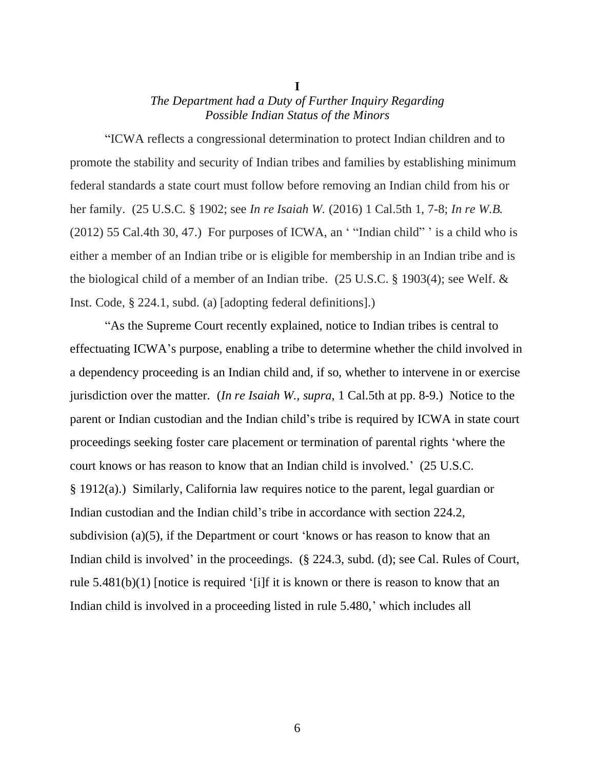# *The Department had a Duty of Further Inquiry Regarding Possible Indian Status of the Minors*

**I**

"ICWA reflects a congressional determination to protect Indian children and to promote the stability and security of Indian tribes and families by establishing minimum federal standards a state court must follow before removing an Indian child from his or her family. (25 U.S.C. § 1902; see *In re Isaiah W.* (2016) 1 Cal.5th 1, 7-8; *In re W.B.* (2012) 55 Cal.4th 30, 47.) For purposes of ICWA, an ' "Indian child" ' is a child who is either a member of an Indian tribe or is eligible for membership in an Indian tribe and is the biological child of a member of an Indian tribe. (25 U.S.C. § 1903(4); see Welf. & Inst. Code, § 224.1, subd. (a) [adopting federal definitions].)

"As the Supreme Court recently explained, notice to Indian tribes is central to effectuating ICWA's purpose, enabling a tribe to determine whether the child involved in a dependency proceeding is an Indian child and, if so, whether to intervene in or exercise jurisdiction over the matter. (*In re Isaiah W., supra*, 1 Cal.5th at pp. 8-9.) Notice to the parent or Indian custodian and the Indian child's tribe is required by ICWA in state court proceedings seeking foster care placement or termination of parental rights 'where the court knows or has reason to know that an Indian child is involved.' (25 U.S.C. § 1912(a).) Similarly, California law requires notice to the parent, legal guardian or Indian custodian and the Indian child's tribe in accordance with section 224.2, subdivision (a)(5), if the Department or court 'knows or has reason to know that an Indian child is involved' in the proceedings. (§ 224.3, subd. (d); see Cal. Rules of Court, rule 5.481(b)(1) [notice is required '[i]f it is known or there is reason to know that an Indian child is involved in a proceeding listed in rule 5.480,' which includes all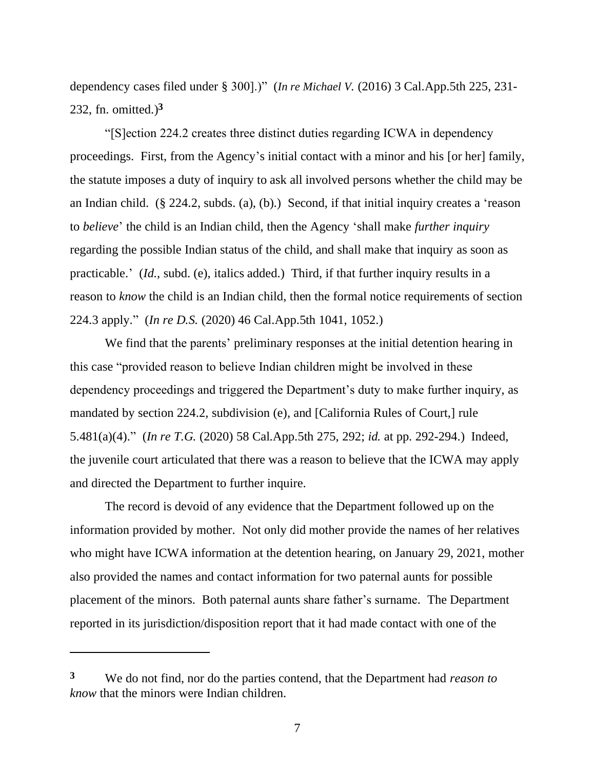dependency cases filed under § 300].)" (*In re Michael V.* (2016) 3 Cal.App.5th 225, 231- 232, fn. omitted.)**<sup>3</sup>**

"[S]ection 224.2 creates three distinct duties regarding ICWA in dependency proceedings. First, from the Agency's initial contact with a minor and his [or her] family, the statute imposes a duty of inquiry to ask all involved persons whether the child may be an Indian child. (§ 224.2, subds. (a), (b).) Second, if that initial inquiry creates a 'reason to *believe*' the child is an Indian child, then the Agency 'shall make *further inquiry*  regarding the possible Indian status of the child, and shall make that inquiry as soon as practicable.' (*Id.,* subd. (e), italics added.) Third, if that further inquiry results in a reason to *know* the child is an Indian child, then the formal notice requirements of section 224.3 apply." (*In re D.S.* (2020) 46 Cal.App.5th 1041, 1052.)

We find that the parents' preliminary responses at the initial detention hearing in this case "provided reason to believe Indian children might be involved in these dependency proceedings and triggered the Department's duty to make further inquiry, as mandated by section 224.2, subdivision (e), and [California Rules of Court,] rule 5.481(a)(4)." (*In re T.G.* (2020) 58 Cal.App.5th 275, 292; *id.* at pp. 292-294.) Indeed, the juvenile court articulated that there was a reason to believe that the ICWA may apply and directed the Department to further inquire.

The record is devoid of any evidence that the Department followed up on the information provided by mother. Not only did mother provide the names of her relatives who might have ICWA information at the detention hearing, on January 29, 2021, mother also provided the names and contact information for two paternal aunts for possible placement of the minors. Both paternal aunts share father's surname. The Department reported in its jurisdiction/disposition report that it had made contact with one of the

**<sup>3</sup>** We do not find, nor do the parties contend, that the Department had *reason to know* that the minors were Indian children.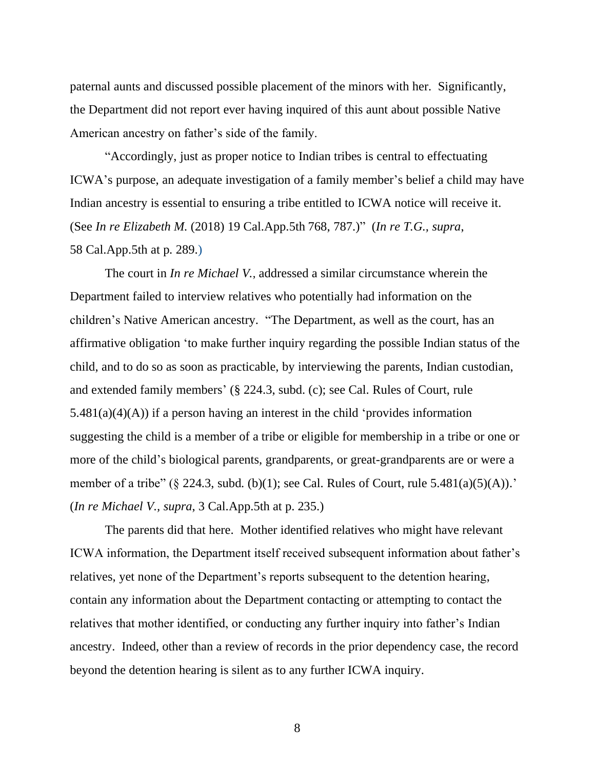paternal aunts and discussed possible placement of the minors with her. Significantly, the Department did not report ever having inquired of this aunt about possible Native American ancestry on father's side of the family.

"Accordingly, just as proper notice to Indian tribes is central to effectuating ICWA's purpose, an adequate investigation of a family member's belief a child may have Indian ancestry is essential to ensuring a tribe entitled to ICWA notice will receive it. (See *In re Elizabeth M.* (2018) 19 Cal.App.5th 768, 787.)" (*In re T.G., supra*, 58 Cal.App.5th at p. 289.)

The court in *In re Michael V.*, addressed a similar circumstance wherein the Department failed to interview relatives who potentially had information on the children's Native American ancestry. "The Department, as well as the court, has an affirmative obligation 'to make further inquiry regarding the possible Indian status of the child, and to do so as soon as practicable, by interviewing the parents, Indian custodian, and extended family members' (§ 224.3, subd. (c); see Cal. Rules of Court, rule  $5.481(a)(4)(A)$  if a person having an interest in the child 'provides information suggesting the child is a member of a tribe or eligible for membership in a tribe or one or more of the child's biological parents, grandparents, or great-grandparents are or were a member of a tribe" (§ 224.3, subd. (b)(1); see Cal. Rules of Court, rule  $5.481(a)(5)(A)$ . (*In re Michael V., supra*, 3 Cal.App.5th at p. 235.)

The parents did that here. Mother identified relatives who might have relevant ICWA information, the Department itself received subsequent information about father's relatives, yet none of the Department's reports subsequent to the detention hearing, contain any information about the Department contacting or attempting to contact the relatives that mother identified, or conducting any further inquiry into father's Indian ancestry. Indeed, other than a review of records in the prior dependency case, the record beyond the detention hearing is silent as to any further ICWA inquiry.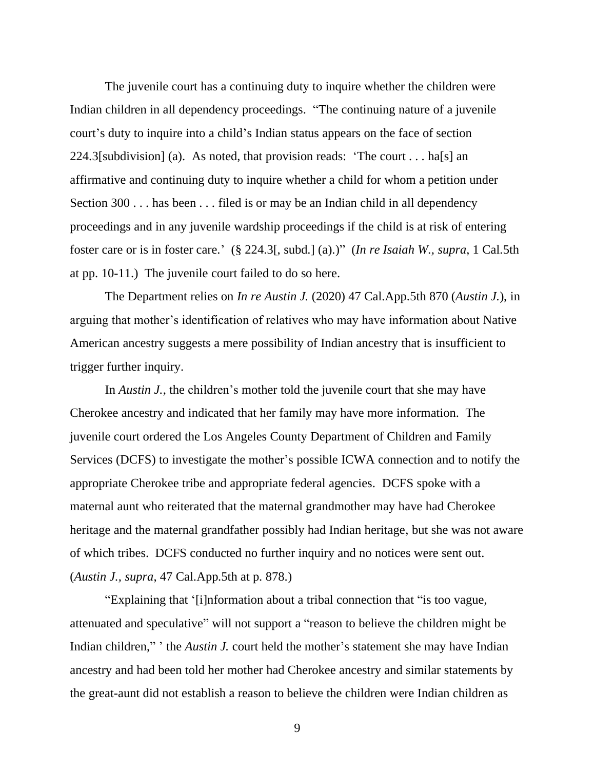The juvenile court has a continuing duty to inquire whether the children were Indian children in all dependency proceedings. "The continuing nature of a juvenile court's duty to inquire into a child's Indian status appears on the face of section 224.3[subdivision] (a). As noted, that provision reads: 'The court . . . ha[s] an affirmative and continuing duty to inquire whether a child for whom a petition under Section 300 . . . has been . . . filed is or may be an Indian child in all dependency proceedings and in any juvenile wardship proceedings if the child is at risk of entering foster care or is in foster care.' (§ 224.3[, subd.] (a).)" (*In re Isaiah W., supra*, 1 Cal.5th at pp. 10-11.) The juvenile court failed to do so here.

The Department relies on *In re Austin J.* (2020) 47 Cal.App.5th 870 (*Austin J.*), in arguing that mother's identification of relatives who may have information about Native American ancestry suggests a mere possibility of Indian ancestry that is insufficient to trigger further inquiry.

In *Austin J.*, the children's mother told the juvenile court that she may have Cherokee ancestry and indicated that her family may have more information. The juvenile court ordered the Los Angeles County Department of Children and Family Services (DCFS) to investigate the mother's possible ICWA connection and to notify the appropriate Cherokee tribe and appropriate federal agencies. DCFS spoke with a maternal aunt who reiterated that the maternal grandmother may have had Cherokee heritage and the maternal grandfather possibly had Indian heritage, but she was not aware of which tribes. DCFS conducted no further inquiry and no notices were sent out. (*Austin J., supra*, 47 Cal.App.5th at p. 878.)

"Explaining that '[i]nformation about a tribal connection that "is too vague, attenuated and speculative" will not support a "reason to believe the children might be Indian children," ' the *Austin J.* court held the mother's statement she may have Indian ancestry and had been told her mother had Cherokee ancestry and similar statements by the great-aunt did not establish a reason to believe the children were Indian children as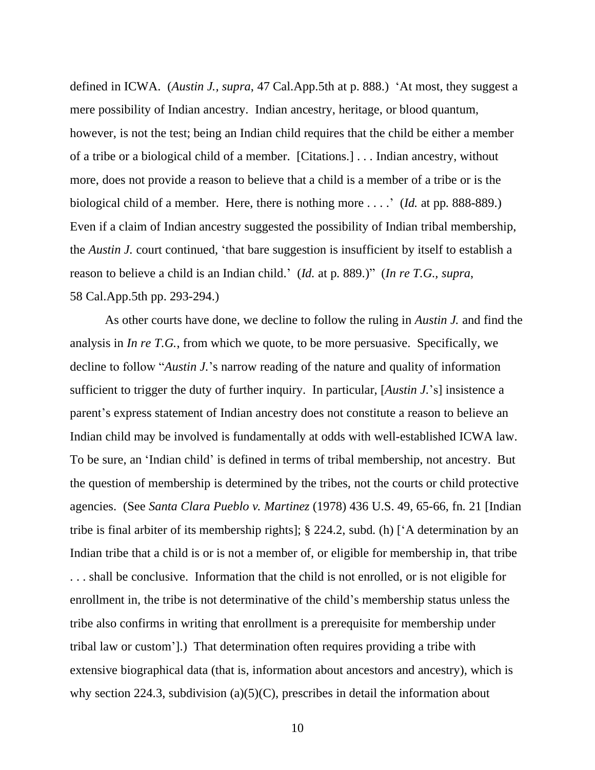defined in ICWA. (*Austin J., supra*, 47 Cal.App.5th at p. 888.) 'At most, they suggest a mere possibility of Indian ancestry. Indian ancestry, heritage, or blood quantum, however, is not the test; being an Indian child requires that the child be either a member of a tribe or a biological child of a member. [Citations.] . . . Indian ancestry, without more, does not provide a reason to believe that a child is a member of a tribe or is the biological child of a member. Here, there is nothing more . . . .' (*Id.* at pp. 888-889.) Even if a claim of Indian ancestry suggested the possibility of Indian tribal membership, the *Austin J.* court continued, 'that bare suggestion is insufficient by itself to establish a reason to believe a child is an Indian child.' (*Id.* at p. 889.)" (*In re T.G., supra*, 58 Cal.App.5th pp. 293-294.)

As other courts have done, we decline to follow the ruling in *Austin J.* and find the analysis in *In re T.G.*, from which we quote, to be more persuasive. Specifically, we decline to follow "*Austin J.*'s narrow reading of the nature and quality of information sufficient to trigger the duty of further inquiry. In particular, [*Austin J.*'s] insistence a parent's express statement of Indian ancestry does not constitute a reason to believe an Indian child may be involved is fundamentally at odds with well-established ICWA law. To be sure, an 'Indian child' is defined in terms of tribal membership, not ancestry. But the question of membership is determined by the tribes, not the courts or child protective agencies. (See *Santa Clara Pueblo v. Martinez* (1978) 436 U.S. 49, 65-66, fn. 21 [Indian tribe is final arbiter of its membership rights]; § 224.2, subd. (h) ['A determination by an Indian tribe that a child is or is not a member of, or eligible for membership in, that tribe . . . shall be conclusive. Information that the child is not enrolled, or is not eligible for enrollment in, the tribe is not determinative of the child's membership status unless the tribe also confirms in writing that enrollment is a prerequisite for membership under tribal law or custom'].) That determination often requires providing a tribe with extensive biographical data (that is, information about ancestors and ancestry), which is why section 224.3, subdivision (a)(5)(C), prescribes in detail the information about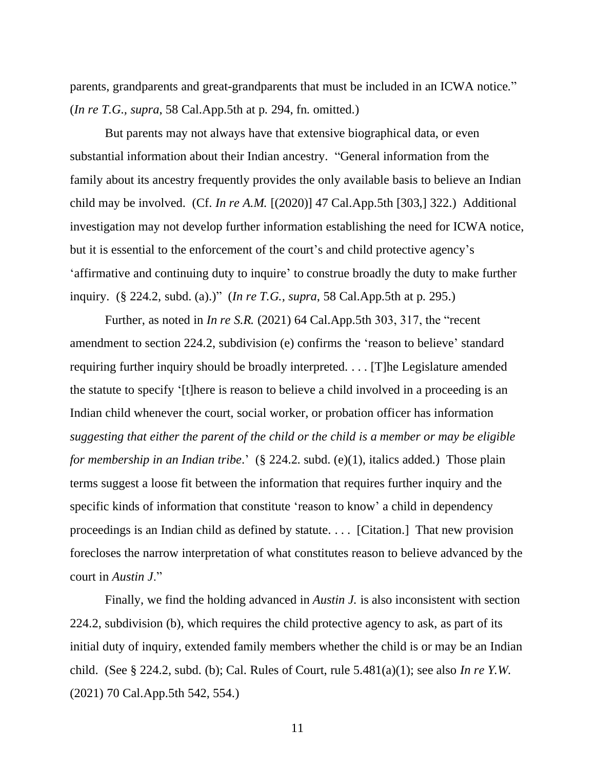parents, grandparents and great-grandparents that must be included in an ICWA notice." (*In re T.G., supra*, 58 Cal.App.5th at p. 294, fn. omitted.)

But parents may not always have that extensive biographical data, or even substantial information about their Indian ancestry. "General information from the family about its ancestry frequently provides the only available basis to believe an Indian child may be involved. (Cf. *In re A.M.* [(2020)] 47 Cal.App.5th [303,] 322.) Additional investigation may not develop further information establishing the need for ICWA notice, but it is essential to the enforcement of the court's and child protective agency's 'affirmative and continuing duty to inquire' to construe broadly the duty to make further inquiry. (§ 224.2, subd. (a).)" (*In re T.G., supra*, 58 Cal.App.5th at p. 295.)

Further, as noted in *In re S.R.* (2021) 64 Cal.App.5th 303, 317, the "recent amendment to section 224.2, subdivision (e) confirms the 'reason to believe' standard requiring further inquiry should be broadly interpreted. . . . [T]he Legislature amended the statute to specify '[t]here is reason to believe a child involved in a proceeding is an Indian child whenever the court, social worker, or probation officer has information *suggesting that either the parent of the child or the child is a member or may be eligible for membership in an Indian tribe*.' (§ 224.2. subd. (e)(1), italics added.) Those plain terms suggest a loose fit between the information that requires further inquiry and the specific kinds of information that constitute 'reason to know' a child in dependency proceedings is an Indian child as defined by statute. . . . [Citation.] That new provision forecloses the narrow interpretation of what constitutes reason to believe advanced by the court in *Austin J*."

Finally, we find the holding advanced in *Austin J.* is also inconsistent with section 224.2, subdivision (b), which requires the child protective agency to ask, as part of its initial duty of inquiry, extended family members whether the child is or may be an Indian child. (See § 224.2, subd. (b); Cal. Rules of Court, rule 5.481(a)(1); see also *In re Y.W.* (2021) 70 Cal.App.5th 542, 554.)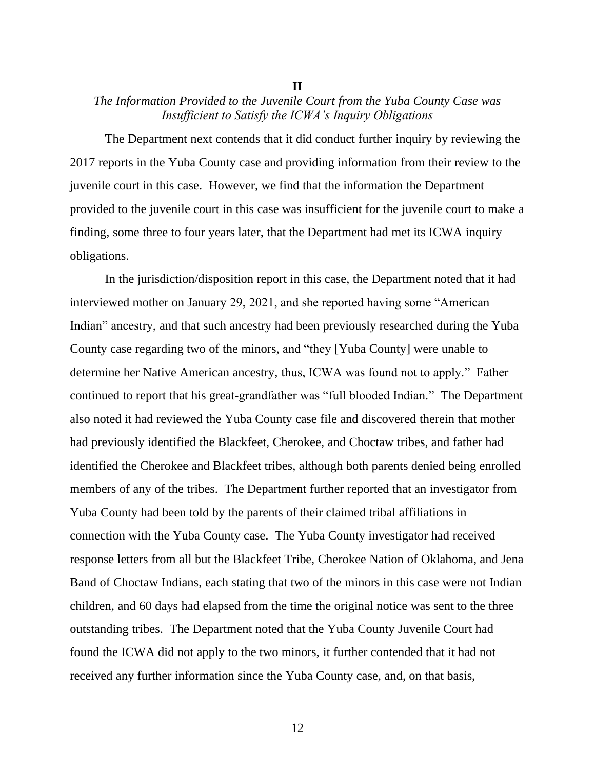#### **II**

# *The Information Provided to the Juvenile Court from the Yuba County Case was Insufficient to Satisfy the ICWA's Inquiry Obligations*

The Department next contends that it did conduct further inquiry by reviewing the 2017 reports in the Yuba County case and providing information from their review to the juvenile court in this case. However, we find that the information the Department provided to the juvenile court in this case was insufficient for the juvenile court to make a finding, some three to four years later, that the Department had met its ICWA inquiry obligations.

In the jurisdiction/disposition report in this case, the Department noted that it had interviewed mother on January 29, 2021, and she reported having some "American Indian" ancestry, and that such ancestry had been previously researched during the Yuba County case regarding two of the minors, and "they [Yuba County] were unable to determine her Native American ancestry, thus, ICWA was found not to apply." Father continued to report that his great-grandfather was "full blooded Indian." The Department also noted it had reviewed the Yuba County case file and discovered therein that mother had previously identified the Blackfeet, Cherokee, and Choctaw tribes, and father had identified the Cherokee and Blackfeet tribes, although both parents denied being enrolled members of any of the tribes. The Department further reported that an investigator from Yuba County had been told by the parents of their claimed tribal affiliations in connection with the Yuba County case. The Yuba County investigator had received response letters from all but the Blackfeet Tribe, Cherokee Nation of Oklahoma, and Jena Band of Choctaw Indians, each stating that two of the minors in this case were not Indian children, and 60 days had elapsed from the time the original notice was sent to the three outstanding tribes. The Department noted that the Yuba County Juvenile Court had found the ICWA did not apply to the two minors, it further contended that it had not received any further information since the Yuba County case, and, on that basis,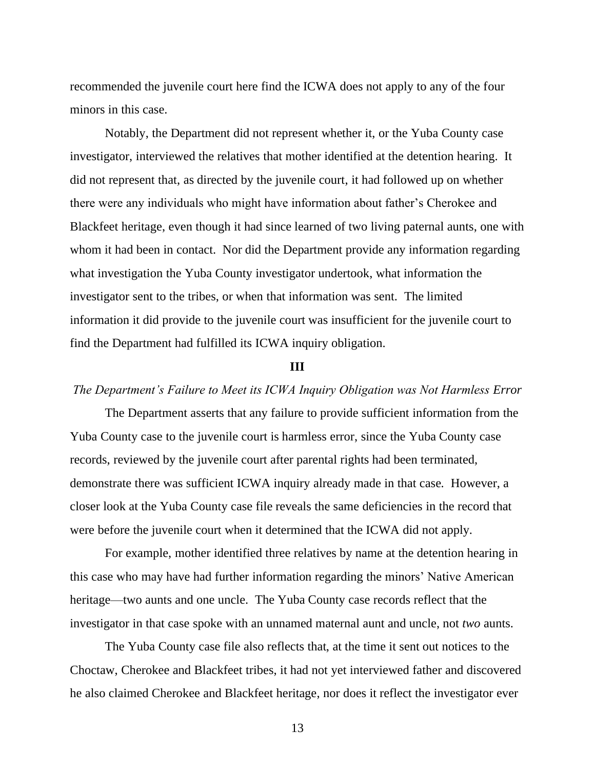recommended the juvenile court here find the ICWA does not apply to any of the four minors in this case.

Notably, the Department did not represent whether it, or the Yuba County case investigator, interviewed the relatives that mother identified at the detention hearing. It did not represent that, as directed by the juvenile court, it had followed up on whether there were any individuals who might have information about father's Cherokee and Blackfeet heritage, even though it had since learned of two living paternal aunts, one with whom it had been in contact. Nor did the Department provide any information regarding what investigation the Yuba County investigator undertook, what information the investigator sent to the tribes, or when that information was sent. The limited information it did provide to the juvenile court was insufficient for the juvenile court to find the Department had fulfilled its ICWA inquiry obligation.

### **III**

# *The Department's Failure to Meet its ICWA Inquiry Obligation was Not Harmless Error*

The Department asserts that any failure to provide sufficient information from the Yuba County case to the juvenile court is harmless error, since the Yuba County case records, reviewed by the juvenile court after parental rights had been terminated, demonstrate there was sufficient ICWA inquiry already made in that case. However, a closer look at the Yuba County case file reveals the same deficiencies in the record that were before the juvenile court when it determined that the ICWA did not apply.

For example, mother identified three relatives by name at the detention hearing in this case who may have had further information regarding the minors' Native American heritage—two aunts and one uncle. The Yuba County case records reflect that the investigator in that case spoke with an unnamed maternal aunt and uncle, not *two* aunts.

The Yuba County case file also reflects that, at the time it sent out notices to the Choctaw, Cherokee and Blackfeet tribes, it had not yet interviewed father and discovered he also claimed Cherokee and Blackfeet heritage, nor does it reflect the investigator ever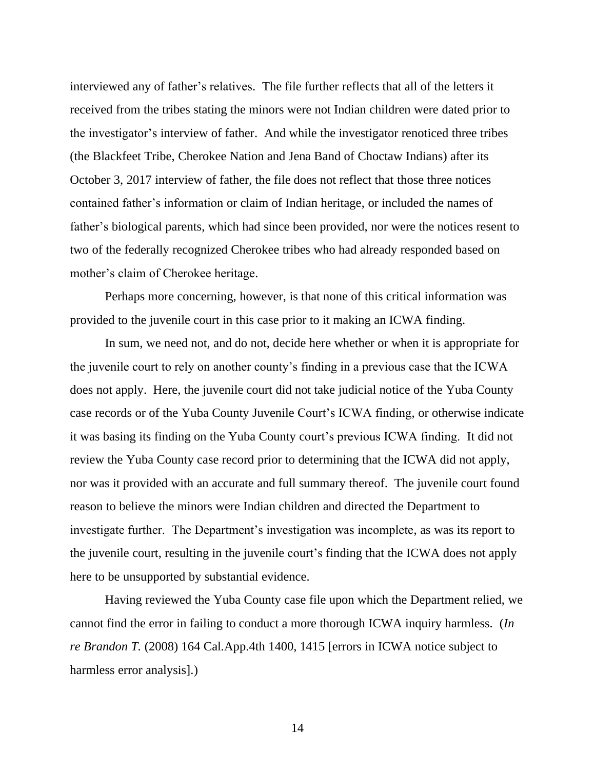interviewed any of father's relatives. The file further reflects that all of the letters it received from the tribes stating the minors were not Indian children were dated prior to the investigator's interview of father. And while the investigator renoticed three tribes (the Blackfeet Tribe, Cherokee Nation and Jena Band of Choctaw Indians) after its October 3, 2017 interview of father, the file does not reflect that those three notices contained father's information or claim of Indian heritage, or included the names of father's biological parents, which had since been provided, nor were the notices resent to two of the federally recognized Cherokee tribes who had already responded based on mother's claim of Cherokee heritage.

Perhaps more concerning, however, is that none of this critical information was provided to the juvenile court in this case prior to it making an ICWA finding.

In sum, we need not, and do not, decide here whether or when it is appropriate for the juvenile court to rely on another county's finding in a previous case that the ICWA does not apply. Here, the juvenile court did not take judicial notice of the Yuba County case records or of the Yuba County Juvenile Court's ICWA finding, or otherwise indicate it was basing its finding on the Yuba County court's previous ICWA finding. It did not review the Yuba County case record prior to determining that the ICWA did not apply, nor was it provided with an accurate and full summary thereof. The juvenile court found reason to believe the minors were Indian children and directed the Department to investigate further. The Department's investigation was incomplete, as was its report to the juvenile court, resulting in the juvenile court's finding that the ICWA does not apply here to be unsupported by substantial evidence.

Having reviewed the Yuba County case file upon which the Department relied, we cannot find the error in failing to conduct a more thorough ICWA inquiry harmless. (*In re Brandon T.* (2008) 164 Cal.App.4th 1400, 1415 [errors in ICWA notice subject to harmless error analysis].)